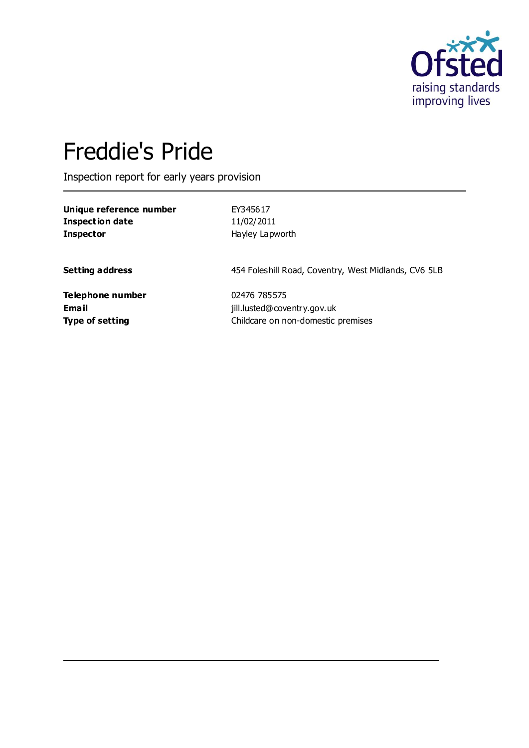

# Freddie's Pride

Inspection report for early years provision

**Unique reference number** EY345617 **Inspection date** 11/02/2011 **Inspector** Hayley Lapworth

**Setting address** 454 Foleshill Road, Coventry, West Midlands, CV6 5LB

**Telephone number** 02476 785575

**Email** jill.lusted@coventry.gov.uk **Type of setting** Childcare on non-domestic premises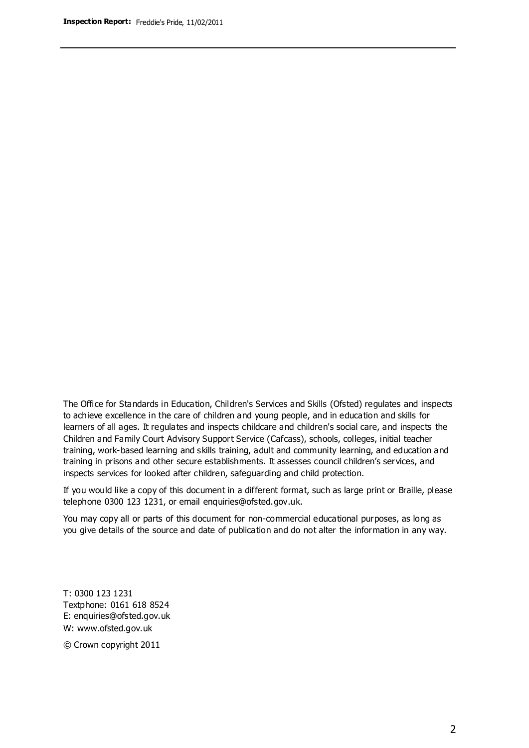The Office for Standards in Education, Children's Services and Skills (Ofsted) regulates and inspects to achieve excellence in the care of children and young people, and in education and skills for learners of all ages. It regulates and inspects childcare and children's social care, and inspects the Children and Family Court Advisory Support Service (Cafcass), schools, colleges, initial teacher training, work-based learning and skills training, adult and community learning, and education and training in prisons and other secure establishments. It assesses council children's services, and inspects services for looked after children, safeguarding and child protection.

If you would like a copy of this document in a different format, such as large print or Braille, please telephone 0300 123 1231, or email enquiries@ofsted.gov.uk.

You may copy all or parts of this document for non-commercial educational purposes, as long as you give details of the source and date of publication and do not alter the information in any way.

T: 0300 123 1231 Textphone: 0161 618 8524 E: enquiries@ofsted.gov.uk W: [www.ofsted.gov.uk](http://www.ofsted.gov.uk/)

© Crown copyright 2011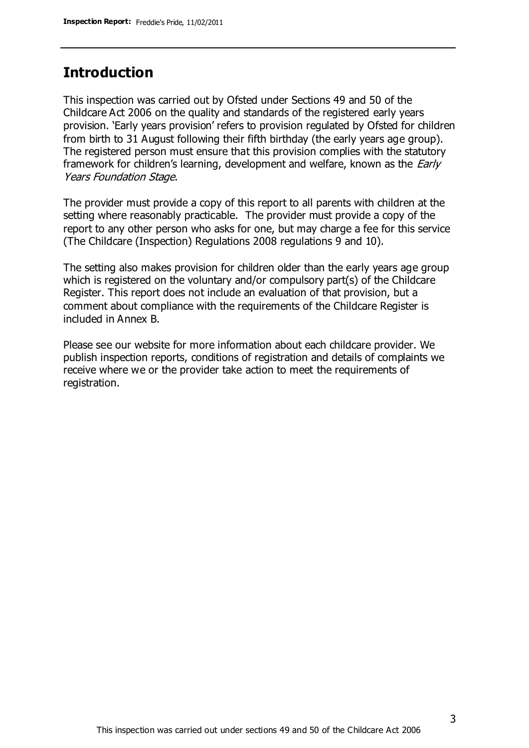#### **Introduction**

This inspection was carried out by Ofsted under Sections 49 and 50 of the Childcare Act 2006 on the quality and standards of the registered early years provision. 'Early years provision' refers to provision regulated by Ofsted for children from birth to 31 August following their fifth birthday (the early years age group). The registered person must ensure that this provision complies with the statutory framework for children's learning, development and welfare, known as the *Early* Years Foundation Stage.

The provider must provide a copy of this report to all parents with children at the setting where reasonably practicable. The provider must provide a copy of the report to any other person who asks for one, but may charge a fee for this service (The Childcare (Inspection) Regulations 2008 regulations 9 and 10).

The setting also makes provision for children older than the early years age group which is registered on the voluntary and/or compulsory part(s) of the Childcare Register. This report does not include an evaluation of that provision, but a comment about compliance with the requirements of the Childcare Register is included in Annex B.

Please see our website for more information about each childcare provider. We publish inspection reports, conditions of registration and details of complaints we receive where we or the provider take action to meet the requirements of registration.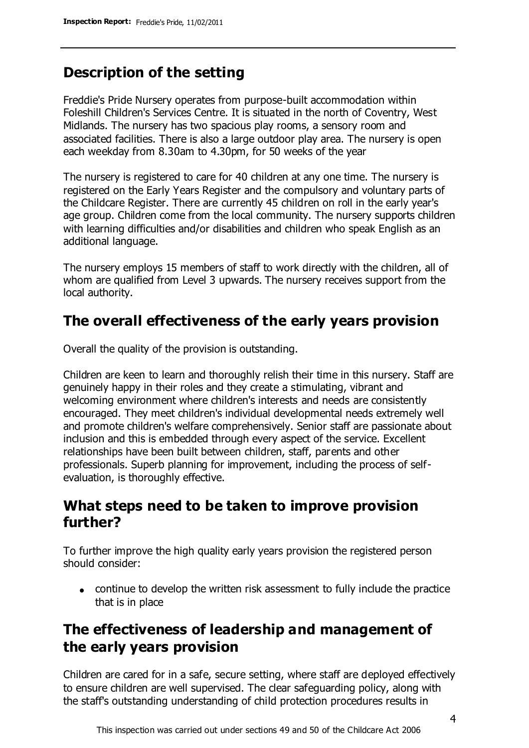### **Description of the setting**

Freddie's Pride Nursery operates from purpose-built accommodation within Foleshill Children's Services Centre. It is situated in the north of Coventry, West Midlands. The nursery has two spacious play rooms, a sensory room and associated facilities. There is also a large outdoor play area. The nursery is open each weekday from 8.30am to 4.30pm, for 50 weeks of the year

The nursery is registered to care for 40 children at any one time. The nursery is registered on the Early Years Register and the compulsory and voluntary parts of the Childcare Register. There are currently 45 children on roll in the early year's age group. Children come from the local community. The nursery supports children with learning difficulties and/or disabilities and children who speak English as an additional language.

The nursery employs 15 members of staff to work directly with the children, all of whom are qualified from Level 3 upwards. The nursery receives support from the local authority.

### **The overall effectiveness of the early years provision**

Overall the quality of the provision is outstanding.

Children are keen to learn and thoroughly relish their time in this nursery. Staff are genuinely happy in their roles and they create a stimulating, vibrant and welcoming environment where children's interests and needs are consistently encouraged. They meet children's individual developmental needs extremely well and promote children's welfare comprehensively. Senior staff are passionate about inclusion and this is embedded through every aspect of the service. Excellent relationships have been built between children, staff, parents and other professionals. Superb planning for improvement, including the process of selfevaluation, is thoroughly effective.

### **What steps need to be taken to improve provision further?**

To further improve the high quality early years provision the registered person should consider:

continue to develop the written risk assessment to fully include the practice that is in place

### **The effectiveness of leadership and management of the early years provision**

Children are cared for in a safe, secure setting, where staff are deployed effectively to ensure children are well supervised. The clear safeguarding policy, along with the staff's outstanding understanding of child protection procedures results in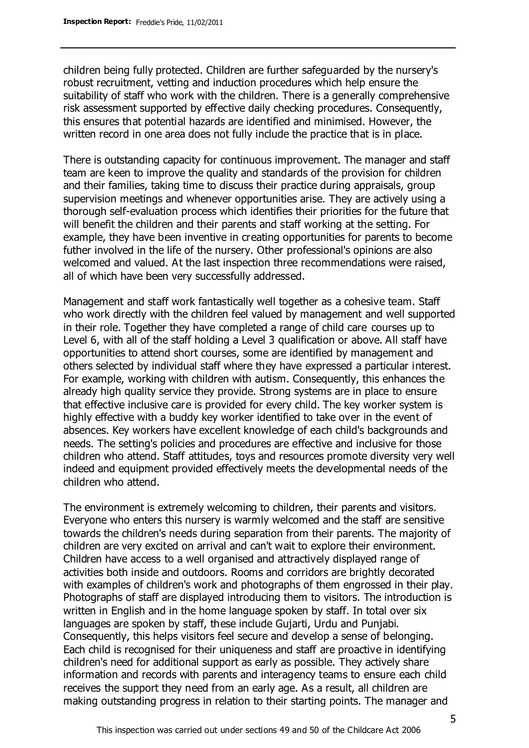children being fully protected. Children are further safeguarded by the nursery's robust recruitment, vetting and induction procedures which help ensure the suitability of staff who work with the children. There is a generally comprehensive risk assessment supported by effective daily checking procedures. Consequently, this ensures that potential hazards are identified and minimised. However, the written record in one area does not fully include the practice that is in place.

There is outstanding capacity for continuous improvement. The manager and staff team are keen to improve the quality and standards of the provision for children and their families, taking time to discuss their practice during appraisals, group supervision meetings and whenever opportunities arise. They are actively using a thorough self-evaluation process which identifies their priorities for the future that will benefit the children and their parents and staff working at the setting. For example, they have been inventive in creating opportunities for parents to become futher involved in the life of the nursery. Other professional's opinions are also welcomed and valued. At the last inspection three recommendations were raised, all of which have been very successfully addressed.

Management and staff work fantastically well together as a cohesive team. Staff who work directly with the children feel valued by management and well supported in their role. Together they have completed a range of child care courses up to Level 6, with all of the staff holding a Level 3 qualification or above. All staff have opportunities to attend short courses, some are identified by management and others selected by individual staff where they have expressed a particular interest. For example, working with children with autism. Consequently, this enhances the already high quality service they provide. Strong systems are in place to ensure that effective inclusive care is provided for every child. The key worker system is highly effective with a buddy key worker identified to take over in the event of absences. Key workers have excellent knowledge of each child's backgrounds and needs. The setting's policies and procedures are effective and inclusive for those children who attend. Staff attitudes, toys and resources promote diversity very well indeed and equipment provided effectively meets the developmental needs of the children who attend.

The environment is extremely welcoming to children, their parents and visitors. Everyone who enters this nursery is warmly welcomed and the staff are sensitive towards the children's needs during separation from their parents. The majority of children are very excited on arrival and can't wait to explore their environment. Children have access to a well organised and attractively displayed range of activities both inside and outdoors. Rooms and corridors are brightly decorated with examples of children's work and photographs of them engrossed in their play. Photographs of staff are displayed introducing them to visitors. The introduction is written in English and in the home language spoken by staff. In total over six languages are spoken by staff, these include Gujarti, Urdu and Punjabi. Consequently, this helps visitors feel secure and develop a sense of belonging. Each child is recognised for their uniqueness and staff are proactive in identifying children's need for additional support as early as possible. They actively share information and records with parents and interagency teams to ensure each child receives the support they need from an early age. As a result, all children are making outstanding progress in relation to their starting points. The manager and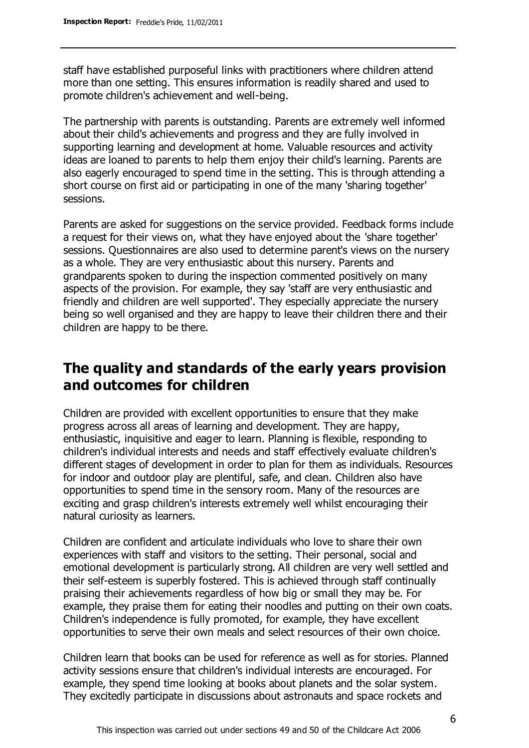staff have established purposeful links with practitioners where children attend more than one setting. This ensures information is readily shared and used to promote children's achievement and well-being.

The partnership with parents is outstanding. Parents are extremely well informed about their child's achievements and progress and they are fully involved in supporting learning and development at home. Valuable resources and activity ideas are loaned to parents to help them enjoy their child's learning. Parents are also eagerly encouraged to spend time in the setting. This is through attending a short course on first aid or participating in one of the many 'sharing together' sessions.

Parents are asked for suggestions on the service provided. Feedback forms include a request for their views on, what they have enjoyed about the 'share together' sessions. Questionnaires are also used to determine parent's views on the nursery as a whole. They are very enthusiastic about this nursery. Parents and grandparents spoken to during the inspection commented positively on many aspects of the provision. For example, they say 'staff are very enthusiastic and friendly and children are well supported'. They especially appreciate the nursery being so well organised and they are happy to leave their children there and their children are happy to be there.

### **The quality and standards of the early years provision and outcomes for children**

Children are provided with excellent opportunities to ensure that they make progress across all areas of learning and development. They are happy, enthusiastic, inquisitive and eager to learn. Planning is flexible, responding to children's individual interests and needs and staff effectively evaluate children's different stages of development in order to plan for them as individuals. Resources for indoor and outdoor play are plentiful, safe, and clean. Children also have opportunities to spend time in the sensory room. Many of the resources are exciting and grasp children's interests extremely well whilst encouraging their natural curiosity as learners.

Children are confident and articulate individuals who love to share their own experiences with staff and visitors to the setting. Their personal, social and emotional development is particularly strong. All children are very well settled and their self-esteem is superbly fostered. This is achieved through staff continually praising their achievements regardless of how big or small they may be. For example, they praise them for eating their noodles and putting on their own coats. Children's independence is fully promoted, for example, they have excellent opportunities to serve their own meals and select resources of their own choice.

Children learn that books can be used for reference as well as for stories. Planned activity sessions ensure that children's individual interests are encouraged. For example, they spend time looking at books about planets and the solar system. They excitedly participate in discussions about astronauts and space rockets and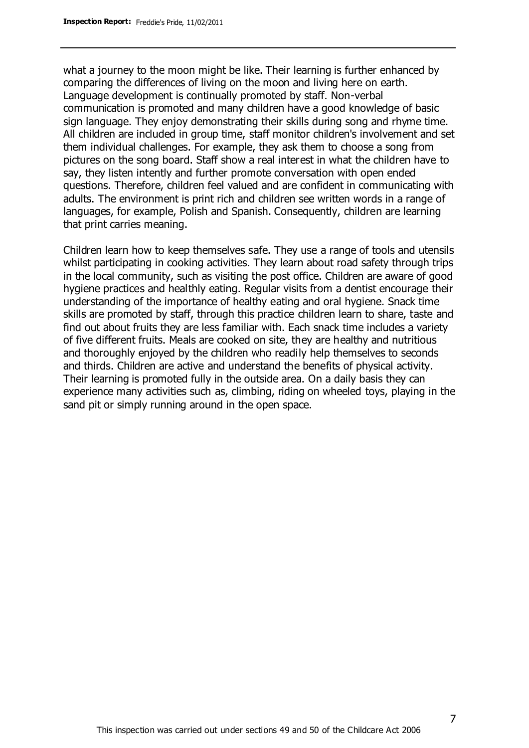what a journey to the moon might be like. Their learning is further enhanced by comparing the differences of living on the moon and living here on earth. Language development is continually promoted by staff. Non-verbal communication is promoted and many children have a good knowledge of basic sign language. They enjoy demonstrating their skills during song and rhyme time. All children are included in group time, staff monitor children's involvement and set them individual challenges. For example, they ask them to choose a song from pictures on the song board. Staff show a real interest in what the children have to say, they listen intently and further promote conversation with open ended questions. Therefore, children feel valued and are confident in communicating with adults. The environment is print rich and children see written words in a range of languages, for example, Polish and Spanish. Consequently, children are learning that print carries meaning.

Children learn how to keep themselves safe. They use a range of tools and utensils whilst participating in cooking activities. They learn about road safety through trips in the local community, such as visiting the post office. Children are aware of good hygiene practices and healthly eating. Regular visits from a dentist encourage their understanding of the importance of healthy eating and oral hygiene. Snack time skills are promoted by staff, through this practice children learn to share, taste and find out about fruits they are less familiar with. Each snack time includes a variety of five different fruits. Meals are cooked on site, they are healthy and nutritious and thoroughly enjoyed by the children who readily help themselves to seconds and thirds. Children are active and understand the benefits of physical activity. Their learning is promoted fully in the outside area. On a daily basis they can experience many activities such as, climbing, riding on wheeled toys, playing in the sand pit or simply running around in the open space.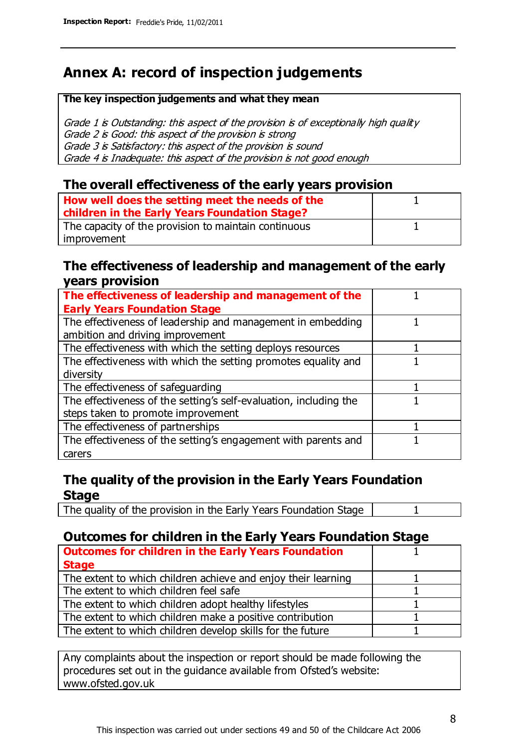### **Annex A: record of inspection judgements**

#### **The key inspection judgements and what they mean**

Grade 1 is Outstanding: this aspect of the provision is of exceptionally high quality Grade 2 is Good: this aspect of the provision is strong Grade 3 is Satisfactory: this aspect of the provision is sound Grade 4 is Inadequate: this aspect of the provision is not good enough

#### **The overall effectiveness of the early years provision**

| How well does the setting meet the needs of the<br>children in the Early Years Foundation Stage? |  |
|--------------------------------------------------------------------------------------------------|--|
| The capacity of the provision to maintain continuous                                             |  |
| improvement                                                                                      |  |

#### **The effectiveness of leadership and management of the early years provision**

| The effectiveness of leadership and management of the             |  |
|-------------------------------------------------------------------|--|
| <b>Early Years Foundation Stage</b>                               |  |
| The effectiveness of leadership and management in embedding       |  |
| ambition and driving improvement                                  |  |
| The effectiveness with which the setting deploys resources        |  |
| The effectiveness with which the setting promotes equality and    |  |
| diversity                                                         |  |
| The effectiveness of safeguarding                                 |  |
| The effectiveness of the setting's self-evaluation, including the |  |
| steps taken to promote improvement                                |  |
| The effectiveness of partnerships                                 |  |
| The effectiveness of the setting's engagement with parents and    |  |
| carers                                                            |  |

#### **The quality of the provision in the Early Years Foundation Stage**

The quality of the provision in the Early Years Foundation Stage | 1

#### **Outcomes for children in the Early Years Foundation Stage**

| <b>Outcomes for children in the Early Years Foundation</b>    |  |
|---------------------------------------------------------------|--|
| <b>Stage</b>                                                  |  |
| The extent to which children achieve and enjoy their learning |  |
| The extent to which children feel safe                        |  |
| The extent to which children adopt healthy lifestyles         |  |
| The extent to which children make a positive contribution     |  |
| The extent to which children develop skills for the future    |  |

Any complaints about the inspection or report should be made following the procedures set out in the guidance available from Ofsted's website: www.ofsted.gov.uk